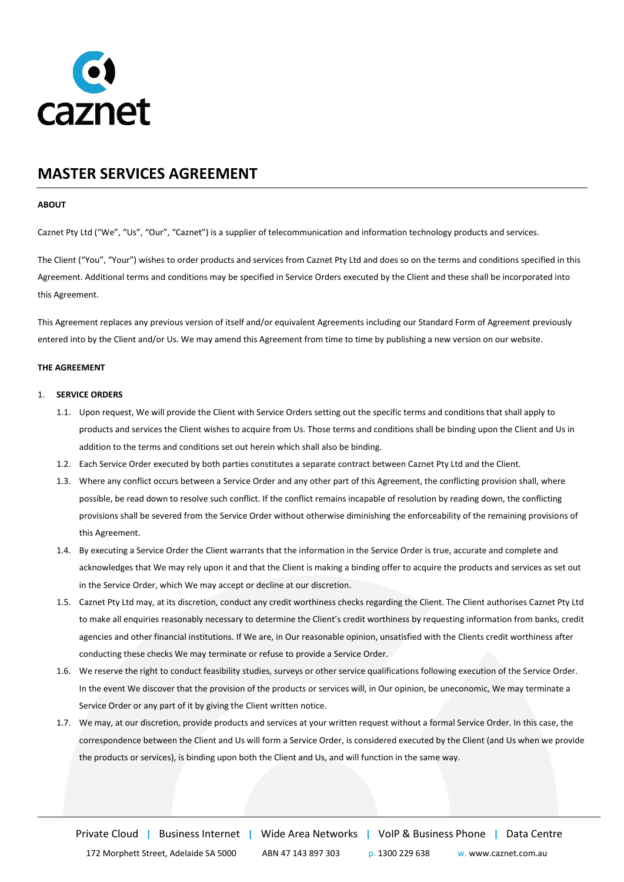

# **MASTER SERVICES AGREEMENT**

## **ABOUT**

Caznet Pty Ltd ("We", "Us", "Our", "Caznet") is a supplier of telecommunication and information technology products and services.

The Client ("You", "Your") wishes to order products and services from Caznet Pty Ltd and does so on the terms and conditions specified in this Agreement. Additional terms and conditions may be specified in Service Orders executed by the Client and these shall be incorporated into this Agreement.

This Agreement replaces any previous version of itself and/or equivalent Agreements including our Standard Form of Agreement previously entered into by the Client and/or Us. We may amend this Agreement from time to time by publishing a new version on our website.

## **THE AGREEMENT**

## 1. **SERVICE ORDERS**

- 1.1. Upon request, We will provide the Client with Service Orders setting out the specific terms and conditions that shall apply to products and services the Client wishes to acquire from Us. Those terms and conditions shall be binding upon the Client and Us in addition to the terms and conditions set out herein which shall also be binding.
- 1.2. Each Service Order executed by both parties constitutes a separate contract between Caznet Pty Ltd and the Client.
- 1.3. Where any conflict occurs between a Service Order and any other part of this Agreement, the conflicting provision shall, where possible, be read down to resolve such conflict. If the conflict remains incapable of resolution by reading down, the conflicting provisions shall be severed from the Service Order without otherwise diminishing the enforceability of the remaining provisions of this Agreement.
- 1.4. By executing a Service Order the Client warrants that the information in the Service Order is true, accurate and complete and acknowledges that We may rely upon it and that the Client is making a binding offer to acquire the products and services as set out in the Service Order, which We may accept or decline at our discretion.
- 1.5. Caznet Pty Ltd may, at its discretion, conduct any credit worthiness checks regarding the Client. The Client authorises Caznet Pty Ltd to make all enquiries reasonably necessary to determine the Client's credit worthiness by requesting information from banks, credit agencies and other financial institutions. If We are, in Our reasonable opinion, unsatisfied with the Clients credit worthiness after conducting these checks We may terminate or refuse to provide a Service Order.
- 1.6. We reserve the right to conduct feasibility studies, surveys or other service qualifications following execution of the Service Order. In the event We discover that the provision of the products or services will, in Our opinion, be uneconomic, We may terminate a Service Order or any part of it by giving the Client written notice.
- 1.7. We may, at our discretion, provide products and services at your written request without a formal Service Order. In this case, the correspondence between the Client and Us will form a Service Order, is considered executed by the Client (and Us when we provide the products or services), is binding upon both the Client and Us, and will function in the same way.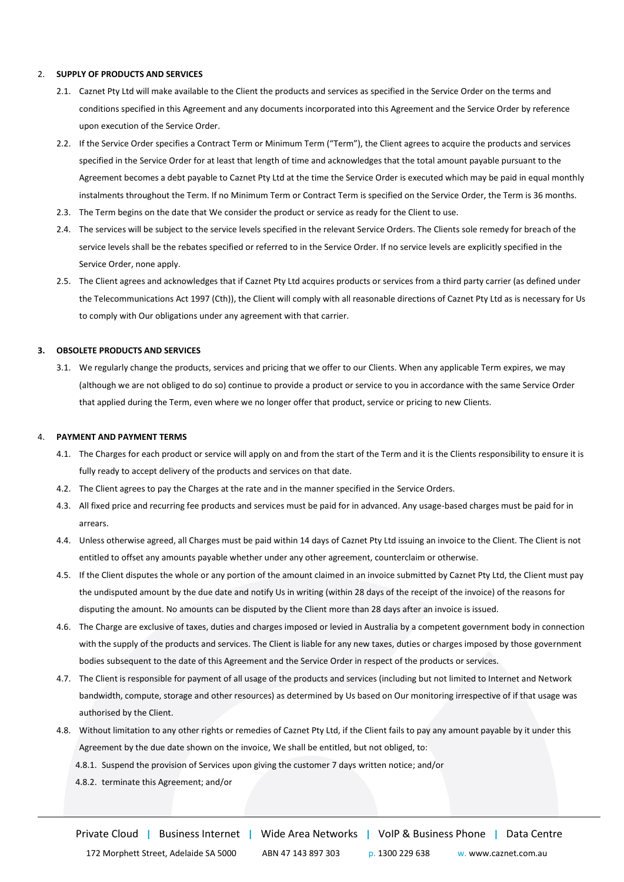# 2. **SUPPLY OF PRODUCTS AND SERVICES**

- 2.1. Caznet Pty Ltd will make available to the Client the products and services as specified in the Service Order on the terms and conditions specified in this Agreement and any documents incorporated into this Agreement and the Service Order by reference upon execution of the Service Order.
- 2.2. If the Service Order specifies a Contract Term or Minimum Term ("Term"), the Client agrees to acquire the products and services specified in the Service Order for at least that length of time and acknowledges that the total amount payable pursuant to the Agreement becomes a debt payable to Caznet Pty Ltd at the time the Service Order is executed which may be paid in equal monthly instalments throughout the Term. If no Minimum Term or Contract Term is specified on the Service Order, the Term is 36 months.
- 2.3. The Term begins on the date that We consider the product or service as ready for the Client to use.
- 2.4. The services will be subject to the service levels specified in the relevant Service Orders. The Clients sole remedy for breach of the service levels shall be the rebates specified or referred to in the Service Order. If no service levels are explicitly specified in the Service Order, none apply.
- 2.5. The Client agrees and acknowledges that if Caznet Pty Ltd acquires products or services from a third party carrier (as defined under the Telecommunications Act 1997 (Cth)), the Client will comply with all reasonable directions of Caznet Pty Ltd as is necessary for Us to comply with Our obligations under any agreement with that carrier.

## **3. OBSOLETE PRODUCTS AND SERVICES**

3.1. We regularly change the products, services and pricing that we offer to our Clients. When any applicable Term expires, we may (although we are not obliged to do so) continue to provide a product or service to you in accordance with the same Service Order that applied during the Term, even where we no longer offer that product, service or pricing to new Clients.

#### 4. **PAYMENT AND PAYMENT TERMS**

- 4.1. The Charges for each product or service will apply on and from the start of the Term and it is the Clients responsibility to ensure it is fully ready to accept delivery of the products and services on that date.
- 4.2. The Client agrees to pay the Charges at the rate and in the manner specified in the Service Orders.
- 4.3. All fixed price and recurring fee products and services must be paid for in advanced. Any usage-based charges must be paid for in arrears.
- 4.4. Unless otherwise agreed, all Charges must be paid within 14 days of Caznet Pty Ltd issuing an invoice to the Client. The Client is not entitled to offset any amounts payable whether under any other agreement, counterclaim or otherwise.
- 4.5. If the Client disputes the whole or any portion of the amount claimed in an invoice submitted by Caznet Pty Ltd, the Client must pay the undisputed amount by the due date and notify Us in writing (within 28 days of the receipt of the invoice) of the reasons for disputing the amount. No amounts can be disputed by the Client more than 28 days after an invoice is issued.
- 4.6. The Charge are exclusive of taxes, duties and charges imposed or levied in Australia by a competent government body in connection with the supply of the products and services. The Client is liable for any new taxes, duties or charges imposed by those government bodies subsequent to the date of this Agreement and the Service Order in respect of the products or services.
- 4.7. The Client is responsible for payment of all usage of the products and services (including but not limited to Internet and Network bandwidth, compute, storage and other resources) as determined by Us based on Our monitoring irrespective of if that usage was authorised by the Client.
- 4.8. Without limitation to any other rights or remedies of Caznet Pty Ltd, if the Client fails to pay any amount payable by it under this Agreement by the due date shown on the invoice, We shall be entitled, but not obliged, to:
	- 4.8.1. Suspend the provision of Services upon giving the customer 7 days written notice; and/or
	- 4.8.2. terminate this Agreement; and/or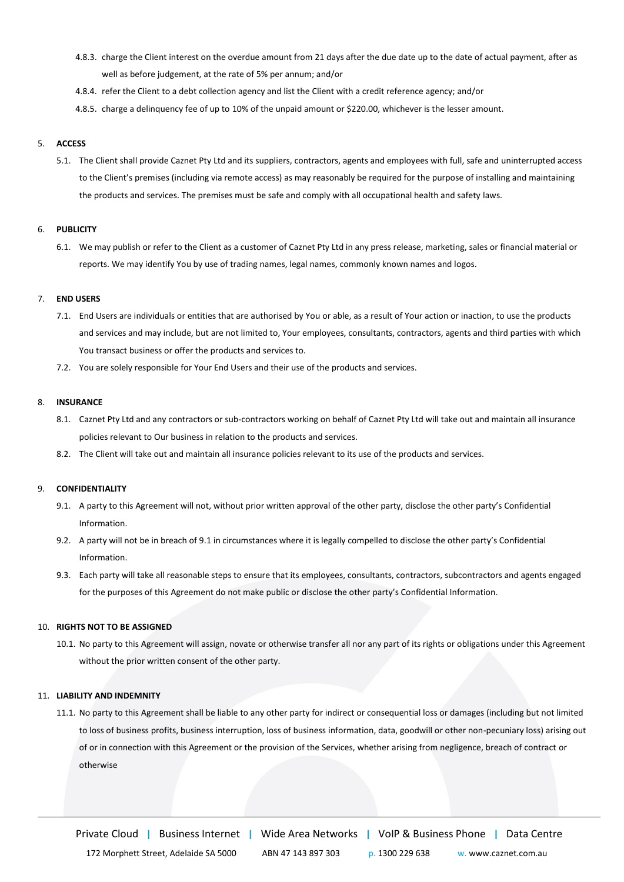- 4.8.3. charge the Client interest on the overdue amount from 21 days after the due date up to the date of actual payment, after as well as before judgement, at the rate of 5% per annum; and/or
- 4.8.4. refer the Client to a debt collection agency and list the Client with a credit reference agency; and/or
- 4.8.5. charge a delinquency fee of up to 10% of the unpaid amount or \$220.00, whichever is the lesser amount.

## 5. **ACCESS**

5.1. The Client shall provide Caznet Pty Ltd and its suppliers, contractors, agents and employees with full, safe and uninterrupted access to the Client's premises (including via remote access) as may reasonably be required for the purpose of installing and maintaining the products and services. The premises must be safe and comply with all occupational health and safety laws.

#### 6. **PUBLICITY**

6.1. We may publish or refer to the Client as a customer of Caznet Pty Ltd in any press release, marketing, sales or financial material or reports. We may identify You by use of trading names, legal names, commonly known names and logos.

# 7. **END USERS**

- 7.1. End Users are individuals or entities that are authorised by You or able, as a result of Your action or inaction, to use the products and services and may include, but are not limited to, Your employees, consultants, contractors, agents and third parties with which You transact business or offer the products and services to.
- 7.2. You are solely responsible for Your End Users and their use of the products and services.

#### 8. **INSURANCE**

- 8.1. Caznet Pty Ltd and any contractors or sub-contractors working on behalf of Caznet Pty Ltd will take out and maintain all insurance policies relevant to Our business in relation to the products and services.
- 8.2. The Client will take out and maintain all insurance policies relevant to its use of the products and services.

#### 9. **CONFIDENTIALITY**

- 9.1. A party to this Agreement will not, without prior written approval of the other party, disclose the other party's Confidential Information.
- 9.2. A party will not be in breach of 9.1 in circumstances where it is legally compelled to disclose the other party's Confidential Information.
- 9.3. Each party will take all reasonable steps to ensure that its employees, consultants, contractors, subcontractors and agents engaged for the purposes of this Agreement do not make public or disclose the other party's Confidential Information.

# 10. **RIGHTS NOT TO BE ASSIGNED**

10.1. No party to this Agreement will assign, novate or otherwise transfer all nor any part of its rights or obligations under this Agreement without the prior written consent of the other party.

## 11. **LIABILITY AND INDEMNITY**

11.1. No party to this Agreement shall be liable to any other party for indirect or consequential loss or damages (including but not limited to loss of business profits, business interruption, loss of business information, data, goodwill or other non-pecuniary loss) arising out of or in connection with this Agreement or the provision of the Services, whether arising from negligence, breach of contract or otherwise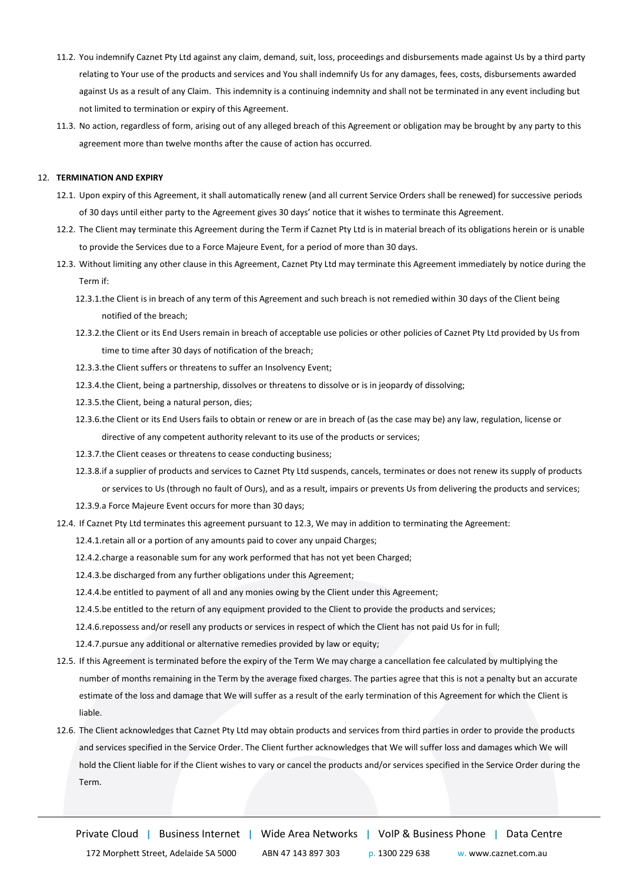- 11.2. You indemnify Caznet Pty Ltd against any claim, demand, suit, loss, proceedings and disbursements made against Us by a third party relating to Your use of the products and services and You shall indemnify Us for any damages, fees, costs, disbursements awarded against Us as a result of any Claim. This indemnity is a continuing indemnity and shall not be terminated in any event including but not limited to termination or expiry of this Agreement.
- 11.3. No action, regardless of form, arising out of any alleged breach of this Agreement or obligation may be brought by any party to this agreement more than twelve months after the cause of action has occurred.

## 12. **TERMINATION AND EXPIRY**

- 12.1. Upon expiry of this Agreement, it shall automatically renew (and all current Service Orders shall be renewed) for successive periods of 30 days until either party to the Agreement gives 30 days' notice that it wishes to terminate this Agreement.
- 12.2. The Client may terminate this Agreement during the Term if Caznet Pty Ltd is in material breach of its obligations herein or is unable to provide the Services due to a Force Majeure Event, for a period of more than 30 days.
- 12.3. Without limiting any other clause in this Agreement, Caznet Pty Ltd may terminate this Agreement immediately by notice during the Term if:
	- 12.3.1.the Client is in breach of any term of this Agreement and such breach is not remedied within 30 days of the Client being notified of the breach;
	- 12.3.2.the Client or its End Users remain in breach of acceptable use policies or other policies of Caznet Pty Ltd provided by Us from time to time after 30 days of notification of the breach;
	- 12.3.3.the Client suffers or threatens to suffer an Insolvency Event;
	- 12.3.4.the Client, being a partnership, dissolves or threatens to dissolve or is in jeopardy of dissolving;
	- 12.3.5.the Client, being a natural person, dies;
	- 12.3.6.the Client or its End Users fails to obtain or renew or are in breach of (as the case may be) any law, regulation, license or directive of any competent authority relevant to its use of the products or services;
	- 12.3.7.the Client ceases or threatens to cease conducting business;
	- 12.3.8.if a supplier of products and services to Caznet Pty Ltd suspends, cancels, terminates or does not renew its supply of products or services to Us (through no fault of Ours), and as a result, impairs or prevents Us from delivering the products and services;
	- 12.3.9.a Force Majeure Event occurs for more than 30 days;
- 12.4. If Caznet Pty Ltd terminates this agreement pursuant to 12.3, We may in addition to terminating the Agreement:
	- 12.4.1.retain all or a portion of any amounts paid to cover any unpaid Charges;
	- 12.4.2.charge a reasonable sum for any work performed that has not yet been Charged;
	- 12.4.3.be discharged from any further obligations under this Agreement;
	- 12.4.4.be entitled to payment of all and any monies owing by the Client under this Agreement;
	- 12.4.5.be entitled to the return of any equipment provided to the Client to provide the products and services;
	- 12.4.6.repossess and/or resell any products or services in respect of which the Client has not paid Us for in full;
	- 12.4.7.pursue any additional or alternative remedies provided by law or equity;
- 12.5. If this Agreement is terminated before the expiry of the Term We may charge a cancellation fee calculated by multiplying the number of months remaining in the Term by the average fixed charges. The parties agree that this is not a penalty but an accurate estimate of the loss and damage that We will suffer as a result of the early termination of this Agreement for which the Client is liable.
- 12.6. The Client acknowledges that Caznet Pty Ltd may obtain products and services from third parties in order to provide the products and services specified in the Service Order. The Client further acknowledges that We will suffer loss and damages which We will hold the Client liable for if the Client wishes to vary or cancel the products and/or services specified in the Service Order during the Term.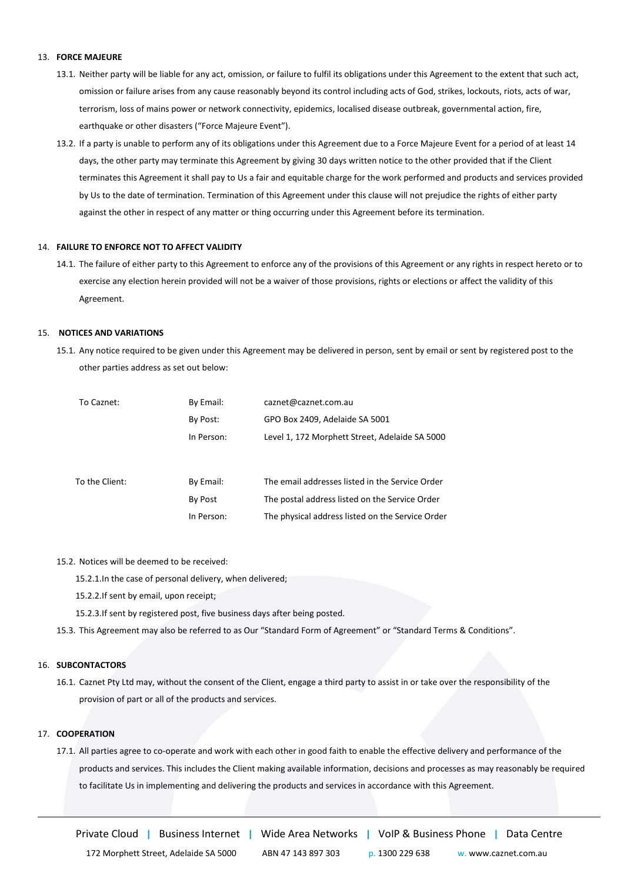## 13. **FORCE MAJEURE**

- 13.1. Neither party will be liable for any act, omission, or failure to fulfil its obligations under this Agreement to the extent that such act, omission or failure arises from any cause reasonably beyond its control including acts of God, strikes, lockouts, riots, acts of war, terrorism, loss of mains power or network connectivity, epidemics, localised disease outbreak, governmental action, fire, earthquake or other disasters ("Force Majeure Event").
- 13.2. If a party is unable to perform any of its obligations under this Agreement due to a Force Majeure Event for a period of at least 14 days, the other party may terminate this Agreement by giving 30 days written notice to the other provided that if the Client terminates this Agreement it shall pay to Us a fair and equitable charge for the work performed and products and services provided by Us to the date of termination. Termination of this Agreement under this clause will not prejudice the rights of either party against the other in respect of any matter or thing occurring under this Agreement before its termination.

#### 14. **FAILURE TO ENFORCE NOT TO AFFECT VALIDITY**

14.1. The failure of either party to this Agreement to enforce any of the provisions of this Agreement or any rights in respect hereto or to exercise any election herein provided will not be a waiver of those provisions, rights or elections or affect the validity of this Agreement.

## 15. **NOTICES AND VARIATIONS**

15.1. Any notice required to be given under this Agreement may be delivered in person, sent by email or sent by registered post to the other parties address as set out below:

| To Caznet:     | By Email:  | caznet@caznet.com.au                             |
|----------------|------------|--------------------------------------------------|
|                | By Post:   | GPO Box 2409, Adelaide SA 5001                   |
|                | In Person: | Level 1, 172 Morphett Street, Adelaide SA 5000   |
|                |            |                                                  |
|                |            |                                                  |
| To the Client: | By Email:  | The email addresses listed in the Service Order  |
|                | By Post    | The postal address listed on the Service Order   |
|                | In Person: | The physical address listed on the Service Order |

15.2. Notices will be deemed to be received:

15.2.1.In the case of personal delivery, when delivered;

- 15.2.2.If sent by email, upon receipt;
- 15.2.3.If sent by registered post, five business days after being posted.
- 15.3. This Agreement may also be referred to as Our "Standard Form of Agreement" or "Standard Terms & Conditions".

## 16. **SUBCONTACTORS**

16.1. Caznet Pty Ltd may, without the consent of the Client, engage a third party to assist in or take over the responsibility of the provision of part or all of the products and services.

## 17. **COOPERATION**

17.1. All parties agree to co-operate and work with each other in good faith to enable the effective delivery and performance of the products and services. This includes the Client making available information, decisions and processes as may reasonably be required to facilitate Us in implementing and delivering the products and services in accordance with this Agreement.

Private Cloud **|** Business Internet **|** Wide Area Networks **|** VoIP & Business Phone **|** Data Centre

172 Morphett Street, Adelaide SA 5000 ABN 47 143 897 303 p. 1300 229 638 w. www.caznet.com.au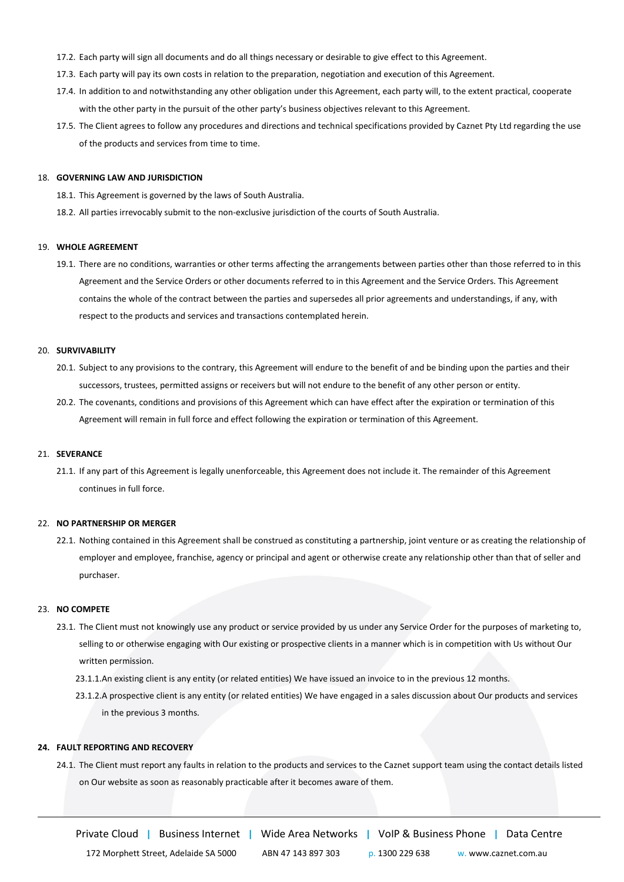- 17.2. Each party will sign all documents and do all things necessary or desirable to give effect to this Agreement.
- 17.3. Each party will pay its own costs in relation to the preparation, negotiation and execution of this Agreement.
- 17.4. In addition to and notwithstanding any other obligation under this Agreement, each party will, to the extent practical, cooperate with the other party in the pursuit of the other party's business objectives relevant to this Agreement.
- 17.5. The Client agrees to follow any procedures and directions and technical specifications provided by Caznet Pty Ltd regarding the use of the products and services from time to time.

## 18. **GOVERNING LAW AND JURISDICTION**

- 18.1. This Agreement is governed by the laws of South Australia.
- 18.2. All parties irrevocably submit to the non-exclusive jurisdiction of the courts of South Australia.

#### 19. **WHOLE AGREEMENT**

19.1. There are no conditions, warranties or other terms affecting the arrangements between parties other than those referred to in this Agreement and the Service Orders or other documents referred to in this Agreement and the Service Orders. This Agreement contains the whole of the contract between the parties and supersedes all prior agreements and understandings, if any, with respect to the products and services and transactions contemplated herein.

## 20. **SURVIVABILITY**

- 20.1. Subject to any provisions to the contrary, this Agreement will endure to the benefit of and be binding upon the parties and their successors, trustees, permitted assigns or receivers but will not endure to the benefit of any other person or entity.
- 20.2. The covenants, conditions and provisions of this Agreement which can have effect after the expiration or termination of this Agreement will remain in full force and effect following the expiration or termination of this Agreement.

# 21. **SEVERANCE**

21.1. If any part of this Agreement is legally unenforceable, this Agreement does not include it. The remainder of this Agreement continues in full force.

#### 22. **NO PARTNERSHIP OR MERGER**

22.1. Nothing contained in this Agreement shall be construed as constituting a partnership, joint venture or as creating the relationship of employer and employee, franchise, agency or principal and agent or otherwise create any relationship other than that of seller and purchaser.

#### 23. **NO COMPETE**

- 23.1. The Client must not knowingly use any product or service provided by us under any Service Order for the purposes of marketing to, selling to or otherwise engaging with Our existing or prospective clients in a manner which is in competition with Us without Our written permission.
	- 23.1.1.An existing client is any entity (or related entities) We have issued an invoice to in the previous 12 months.
	- 23.1.2.A prospective client is any entity (or related entities) We have engaged in a sales discussion about Our products and services in the previous 3 months.

#### **24. FAULT REPORTING AND RECOVERY**

24.1. The Client must report any faults in relation to the products and services to the Caznet support team using the contact details listed on Our website as soon as reasonably practicable after it becomes aware of them.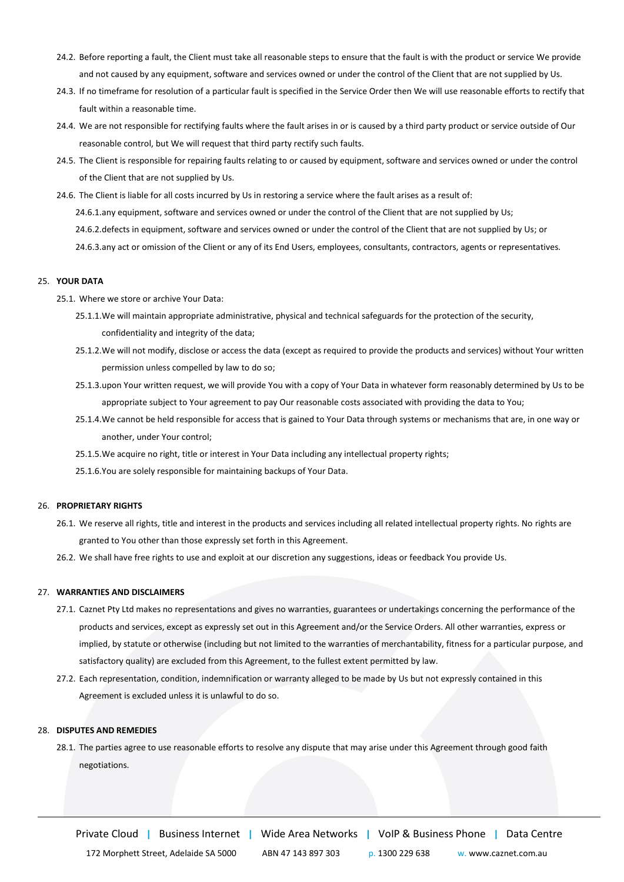- 24.2. Before reporting a fault, the Client must take all reasonable steps to ensure that the fault is with the product or service We provide and not caused by any equipment, software and services owned or under the control of the Client that are not supplied by Us.
- 24.3. If no timeframe for resolution of a particular fault is specified in the Service Order then We will use reasonable efforts to rectify that fault within a reasonable time.
- 24.4. We are not responsible for rectifying faults where the fault arises in or is caused by a third party product or service outside of Our reasonable control, but We will request that third party rectify such faults.
- 24.5. The Client is responsible for repairing faults relating to or caused by equipment, software and services owned or under the control of the Client that are not supplied by Us.
- 24.6. The Client is liable for all costs incurred by Us in restoring a service where the fault arises as a result of:
	- 24.6.1.any equipment, software and services owned or under the control of the Client that are not supplied by Us;
	- 24.6.2.defects in equipment, software and services owned or under the control of the Client that are not supplied by Us; or
	- 24.6.3.any act or omission of the Client or any of its End Users, employees, consultants, contractors, agents or representatives.

#### 25. **YOUR DATA**

- 25.1. Where we store or archive Your Data:
	- 25.1.1.We will maintain appropriate administrative, physical and technical safeguards for the protection of the security, confidentiality and integrity of the data;
	- 25.1.2.We will not modify, disclose or access the data (except as required to provide the products and services) without Your written permission unless compelled by law to do so;
	- 25.1.3.upon Your written request, we will provide You with a copy of Your Data in whatever form reasonably determined by Us to be appropriate subject to Your agreement to pay Our reasonable costs associated with providing the data to You;
	- 25.1.4.We cannot be held responsible for access that is gained to Your Data through systems or mechanisms that are, in one way or another, under Your control;
	- 25.1.5.We acquire no right, title or interest in Your Data including any intellectual property rights;
	- 25.1.6.You are solely responsible for maintaining backups of Your Data.

#### 26. **PROPRIETARY RIGHTS**

- 26.1. We reserve all rights, title and interest in the products and services including all related intellectual property rights. No rights are granted to You other than those expressly set forth in this Agreement.
- 26.2. We shall have free rights to use and exploit at our discretion any suggestions, ideas or feedback You provide Us.

# 27. **WARRANTIES AND DISCLAIMERS**

- 27.1. Caznet Pty Ltd makes no representations and gives no warranties, guarantees or undertakings concerning the performance of the products and services, except as expressly set out in this Agreement and/or the Service Orders. All other warranties, express or implied, by statute or otherwise (including but not limited to the warranties of merchantability, fitness for a particular purpose, and satisfactory quality) are excluded from this Agreement, to the fullest extent permitted by law.
- 27.2. Each representation, condition, indemnification or warranty alleged to be made by Us but not expressly contained in this Agreement is excluded unless it is unlawful to do so.

# 28. **DISPUTES AND REMEDIES**

28.1. The parties agree to use reasonable efforts to resolve any dispute that may arise under this Agreement through good faith negotiations.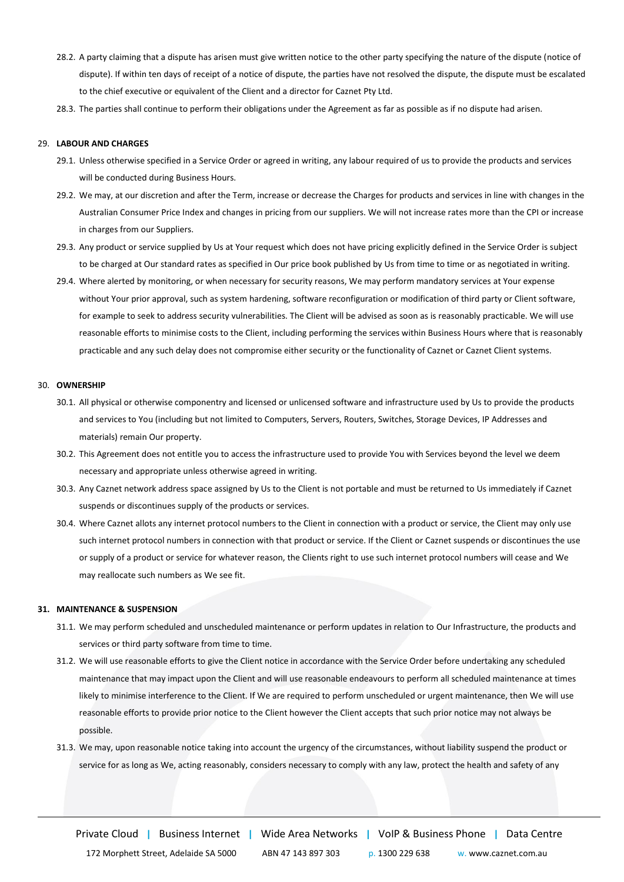- 28.2. A party claiming that a dispute has arisen must give written notice to the other party specifying the nature of the dispute (notice of dispute). If within ten days of receipt of a notice of dispute, the parties have not resolved the dispute, the dispute must be escalated to the chief executive or equivalent of the Client and a director for Caznet Pty Ltd.
- 28.3. The parties shall continue to perform their obligations under the Agreement as far as possible as if no dispute had arisen.

#### 29. **LABOUR AND CHARGES**

- 29.1. Unless otherwise specified in a Service Order or agreed in writing, any labour required of us to provide the products and services will be conducted during Business Hours.
- 29.2. We may, at our discretion and after the Term, increase or decrease the Charges for products and services in line with changes in the Australian Consumer Price Index and changes in pricing from our suppliers. We will not increase rates more than the CPI or increase in charges from our Suppliers.
- 29.3. Any product or service supplied by Us at Your request which does not have pricing explicitly defined in the Service Order is subject to be charged at Our standard rates as specified in Our price book published by Us from time to time or as negotiated in writing.
- 29.4. Where alerted by monitoring, or when necessary for security reasons, We may perform mandatory services at Your expense without Your prior approval, such as system hardening, software reconfiguration or modification of third party or Client software, for example to seek to address security vulnerabilities. The Client will be advised as soon as is reasonably practicable. We will use reasonable efforts to minimise costs to the Client, including performing the services within Business Hours where that is reasonably practicable and any such delay does not compromise either security or the functionality of Caznet or Caznet Client systems.

## 30. **OWNERSHIP**

- 30.1. All physical or otherwise componentry and licensed or unlicensed software and infrastructure used by Us to provide the products and services to You (including but not limited to Computers, Servers, Routers, Switches, Storage Devices, IP Addresses and materials) remain Our property.
- 30.2. This Agreement does not entitle you to access the infrastructure used to provide You with Services beyond the level we deem necessary and appropriate unless otherwise agreed in writing.
- 30.3. Any Caznet network address space assigned by Us to the Client is not portable and must be returned to Us immediately if Caznet suspends or discontinues supply of the products or services.
- 30.4. Where Caznet allots any internet protocol numbers to the Client in connection with a product or service, the Client may only use such internet protocol numbers in connection with that product or service. If the Client or Caznet suspends or discontinues the use or supply of a product or service for whatever reason, the Clients right to use such internet protocol numbers will cease and We may reallocate such numbers as We see fit.

#### **31. MAINTENANCE & SUSPENSION**

- 31.1. We may perform scheduled and unscheduled maintenance or perform updates in relation to Our Infrastructure, the products and services or third party software from time to time.
- 31.2. We will use reasonable efforts to give the Client notice in accordance with the Service Order before undertaking any scheduled maintenance that may impact upon the Client and will use reasonable endeavours to perform all scheduled maintenance at times likely to minimise interference to the Client. If We are required to perform unscheduled or urgent maintenance, then We will use reasonable efforts to provide prior notice to the Client however the Client accepts that such prior notice may not always be possible.
- 31.3. We may, upon reasonable notice taking into account the urgency of the circumstances, without liability suspend the product or service for as long as We, acting reasonably, considers necessary to comply with any law, protect the health and safety of any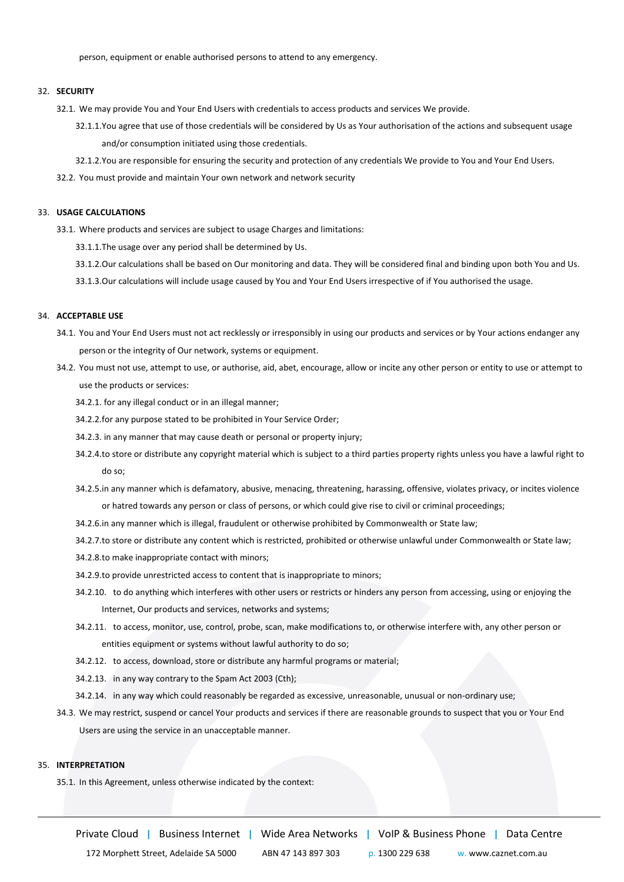person, equipment or enable authorised persons to attend to any emergency.

## 32. **SECURITY**

- 32.1. We may provide You and Your End Users with credentials to access products and services We provide.
	- 32.1.1.You agree that use of those credentials will be considered by Us as Your authorisation of the actions and subsequent usage and/or consumption initiated using those credentials.
	- 32.1.2.You are responsible for ensuring the security and protection of any credentials We provide to You and Your End Users.
- 32.2. You must provide and maintain Your own network and network security

#### 33. **USAGE CALCULATIONS**

- 33.1. Where products and services are subject to usage Charges and limitations:
	- 33.1.1.The usage over any period shall be determined by Us.
	- 33.1.2.Our calculations shall be based on Our monitoring and data. They will be considered final and binding upon both You and Us.
	- 33.1.3.Our calculations will include usage caused by You and Your End Users irrespective of if You authorised the usage.

# 34. **ACCEPTABLE USE**

- 34.1. You and Your End Users must not act recklessly or irresponsibly in using our products and services or by Your actions endanger any person or the integrity of Our network, systems or equipment.
- 34.2. You must not use, attempt to use, or authorise, aid, abet, encourage, allow or incite any other person or entity to use or attempt to use the products or services:
	- 34.2.1. for any illegal conduct or in an illegal manner;
	- 34.2.2.for any purpose stated to be prohibited in Your Service Order;
	- 34.2.3. in any manner that may cause death or personal or property injury;
	- 34.2.4.to store or distribute any copyright material which is subject to a third parties property rights unless you have a lawful right to do so;
	- 34.2.5.in any manner which is defamatory, abusive, menacing, threatening, harassing, offensive, violates privacy, or incites violence or hatred towards any person or class of persons, or which could give rise to civil or criminal proceedings;
	- 34.2.6.in any manner which is illegal, fraudulent or otherwise prohibited by Commonwealth or State law;
	- 34.2.7.to store or distribute any content which is restricted, prohibited or otherwise unlawful under Commonwealth or State law;
	- 34.2.8.to make inappropriate contact with minors;
	- 34.2.9.to provide unrestricted access to content that is inappropriate to minors;
	- 34.2.10. to do anything which interferes with other users or restricts or hinders any person from accessing, using or enjoying the Internet, Our products and services, networks and systems;
	- 34.2.11. to access, monitor, use, control, probe, scan, make modifications to, or otherwise interfere with, any other person or entities equipment or systems without lawful authority to do so;
	- 34.2.12. to access, download, store or distribute any harmful programs or material;
	- 34.2.13. in any way contrary to the Spam Act 2003 (Cth);
	- 34.2.14. in any way which could reasonably be regarded as excessive, unreasonable, unusual or non-ordinary use;
- 34.3. We may restrict, suspend or cancel Your products and services if there are reasonable grounds to suspect that you or Your End Users are using the service in an unacceptable manner.

# 35. **INTERPRETATION**

35.1. In this Agreement, unless otherwise indicated by the context:

Private Cloud **|** Business Internet **|** Wide Area Networks **|** VoIP & Business Phone **|** Data Centre

172 Morphett Street, Adelaide SA 5000 ABN 47 143 897 303 p. 1300 229 638 w. www.caznet.com.au